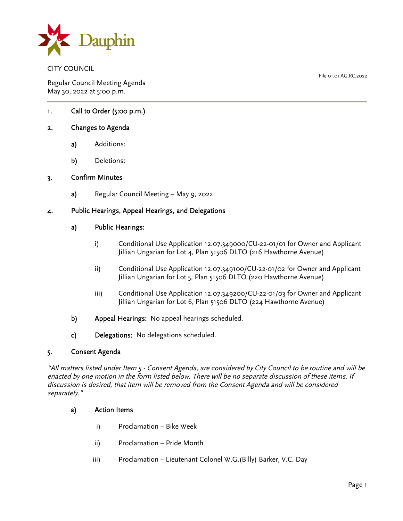

CITY COUNCIL

Regular Council Meeting Agenda May 30, 2022 at 5:00 p.m.

1. Call to Order (5:00 p.m.)

# 2. Changes to Agenda

- a) Additions:
- b) Deletions:

### 3. Confirm Minutes

a) Regular Council Meeting – May 9, 2022

### 4. Public Hearings, Appeal Hearings, and Delegations

### a) Public Hearings:

- i) Conditional Use Application 12.07.349000/CU-22-01/01 for Owner and Applicant Jillian Ungarian for Lot 4, Plan 51506 DLTO (216 Hawthorne Avenue)
- ii) Conditional Use Application 12.07.349100/CU-22-01/02 for Owner and Applicant Jillian Ungarian for Lot 5, Plan 51506 DLTO (220 Hawthorne Avenue)
- iii) Conditional Use Application 12.07.349200/CU-22-01/03 for Owner and Applicant Jillian Ungarian for Lot 6, Plan 51506 DLTO (224 Hawthorne Avenue)
- b) Appeal Hearings: No appeal hearings scheduled.
- c) Delegations: No delegations scheduled.

### 5. Consent Agenda

"All matters listed under Item 5 - Consent Agenda, are considered by City Council to be routine and will be enacted by one motion in the form listed below. There will be no separate discussion of these items. If discussion is desired, that item will be removed from the Consent Agenda and will be considered separately."

### a) Action Items

- i) Proclamation Bike Week
- ii) Proclamation Pride Month
- iii) Proclamation Lieutenant Colonel W.G.(Billy) Barker, V.C. Day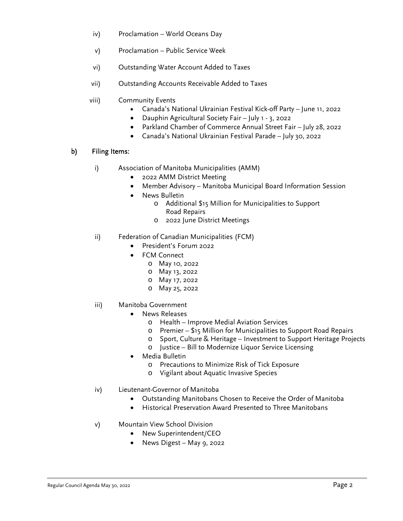- iv) Proclamation World Oceans Day
- v) Proclamation Public Service Week
- vi) Outstanding Water Account Added to Taxes
- vii) Outstanding Accounts Receivable Added to Taxes
- viii) Community Events
	- Canada's National Ukrainian Festival Kick-off Party June 11, 2022
	- Dauphin Agricultural Society Fair July 1 3, 2022
	- Parkland Chamber of Commerce Annual Street Fair July 28, 2022
	- Canada's National Ukrainian Festival Parade July 30, 2022

# b) Filing Items:

- i) Association of Manitoba Municipalities (AMM)
	- 2022 AMM District Meeting
	- Member Advisory Manitoba Municipal Board Information Session
	- News Bulletin
		- o Additional \$15 Million for Municipalities to Support Road Repairs
		- o 2022 June District Meetings
- ii) Federation of Canadian Municipalities (FCM)
	- President's Forum 2022
	- FCM Connect
		- o May 10, 2022
		- o May 13, 2022
		- o May 17, 2022
		- o May 25, 2022

# iii) Manitoba Government

- News Releases
	- o Health Improve Medial Aviation Services
	- o Premier \$15 Million for Municipalities to Support Road Repairs
	- o Sport, Culture & Heritage Investment to Support Heritage Projects
	- o Justice Bill to Modernize Liquor Service Licensing
- Media Bulletin
	- o Precautions to Minimize Risk of Tick Exposure
	- o Vigilant about Aquatic Invasive Species
- iv) Lieutenant-Governor of Manitoba
	- Outstanding Manitobans Chosen to Receive the Order of Manitoba
	- Historical Preservation Award Presented to Three Manitobans
- v) Mountain View School Division
	- New Superintendent/CEO
	- News Digest May 9, 2022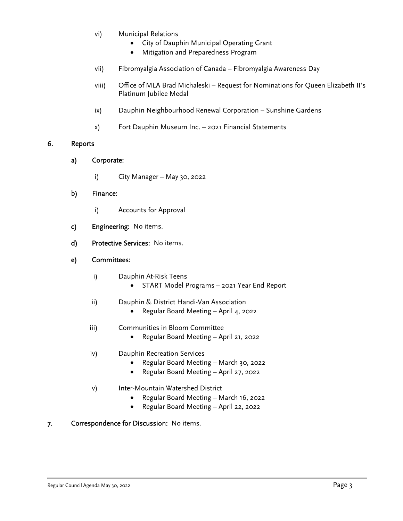- vi) Municipal Relations
	- City of Dauphin Municipal Operating Grant
	- Mitigation and Preparedness Program
- vii) Fibromyalgia Association of Canada Fibromyalgia Awareness Day
- viii) Office of MLA Brad Michaleski Request for Nominations for Queen Elizabeth II's Platinum Jubilee Medal
- ix) Dauphin Neighbourhood Renewal Corporation Sunshine Gardens
- x) Fort Dauphin Museum Inc. 2021 Financial Statements

### 6. Reports

- a) Corporate:
	- i) City Manager May 30, 2022
- b) Finance:
	- i) Accounts for Approval
- c) Engineering: No items.
- d) Protective Services: No items.

## e) Committees:

- i) Dauphin At-Risk Teens
	- START Model Programs 2021 Year End Report
- ii) Dauphin & District Handi-Van Association
	- Regular Board Meeting April 4, 2022
- iii) Communities in Bloom Committee
	- Regular Board Meeting April 21, 2022
- iv) Dauphin Recreation Services
	- Regular Board Meeting March 30, 2022
	- Regular Board Meeting April 27, 2022
- v) Inter-Mountain Watershed District
	- Regular Board Meeting March 16, 2022
	- Regular Board Meeting April 22, 2022
- 7. Correspondence for Discussion: No items.